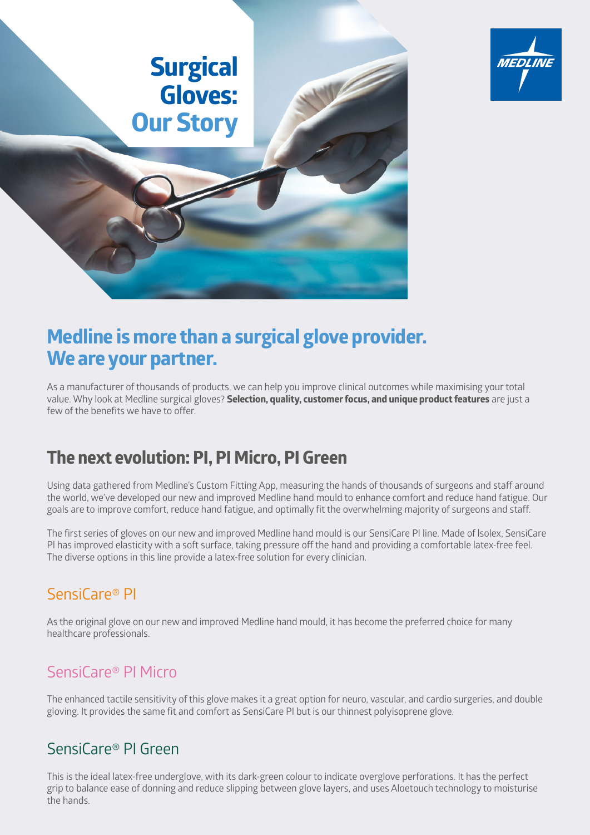



As a manufacturer of thousands of products, we can help you improve clinical outcomes while maximising your total value. Why look at Medline surgical gloves? **Selection, quality, customer focus, and unique product features** are just a few of the benefits we have to offer.

**MEDI INE** 

## **The next evolution: PI, PI Micro, PI Green**

Using data gathered from Medline's Custom Fitting App, measuring the hands of thousands of surgeons and staff around the world, we've developed our new and improved Medline hand mould to enhance comfort and reduce hand fatigue. Our goals are to improve comfort, reduce hand fatigue, and optimally fit the overwhelming majority of surgeons and staff.

The first series of gloves on our new and improved Medline hand mould is our SensiCare PI line. Made of lsolex, SensiCare Pl has improved elasticity with a soft surface, taking pressure off the hand and providing a comfortable latex-free feel. The diverse options in this line provide a latex-free solution for every clinician.

### SensiCare® PI

As the original glove on our new and improved Medline hand mould, it has become the preferred choice for many healthcare professionals.

#### SensiCare® PI Micro

The enhanced tactile sensitivity of this glove makes it a great option for neuro, vascular, and cardio surgeries, and double gloving. It provides the same fit and comfort as SensiCare PI but is our thinnest polyisoprene glove.

#### SensiCare® PI Green

This is the ideal latex-free underglove, with its dark-green colour to indicate overglove perforations. It has the perfect grip to balance ease of donning and reduce slipping between glove layers, and uses Aloetouch technology to moisturise the hands.